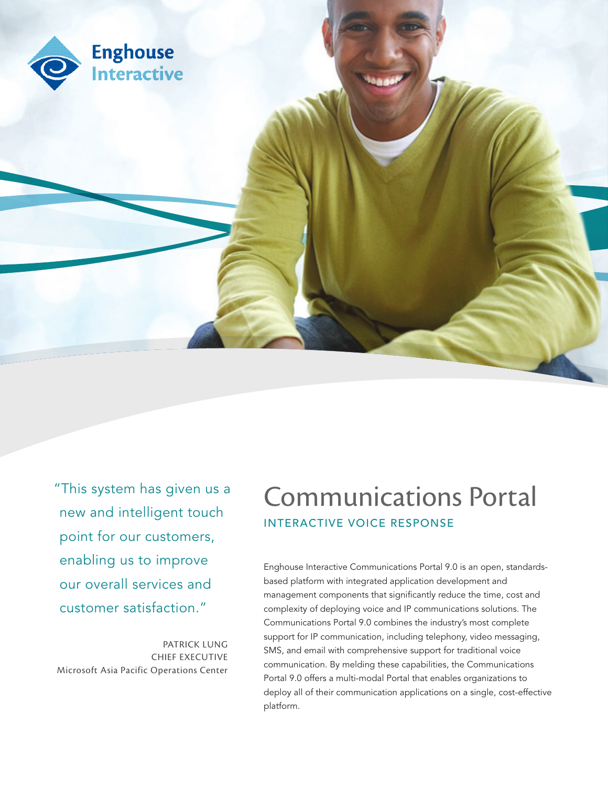

"This system has given us a new and intelligent touch point for our customers, enabling us to improve our overall services and customer satisfaction."

PATRICK LUNG CHIEF EXECUTIVE Microsoft Asia Pacific Operations Center

# Communications Portal INTERACTIVE VOICE RESPONSE

Enghouse Interactive Communications Portal 9.0 is an open, standardsbased platform with integrated application development and management components that significantly reduce the time, cost and complexity of deploying voice and IP communications solutions. The Communications Portal 9.0 combines the industry's most complete support for IP communication, including telephony, video messaging, SMS, and email with comprehensive support for traditional voice communication. By melding these capabilities, the Communications Portal 9.0 offers a multi-modal Portal that enables organizations to deploy all of their communication applications on a single, cost-effective platform.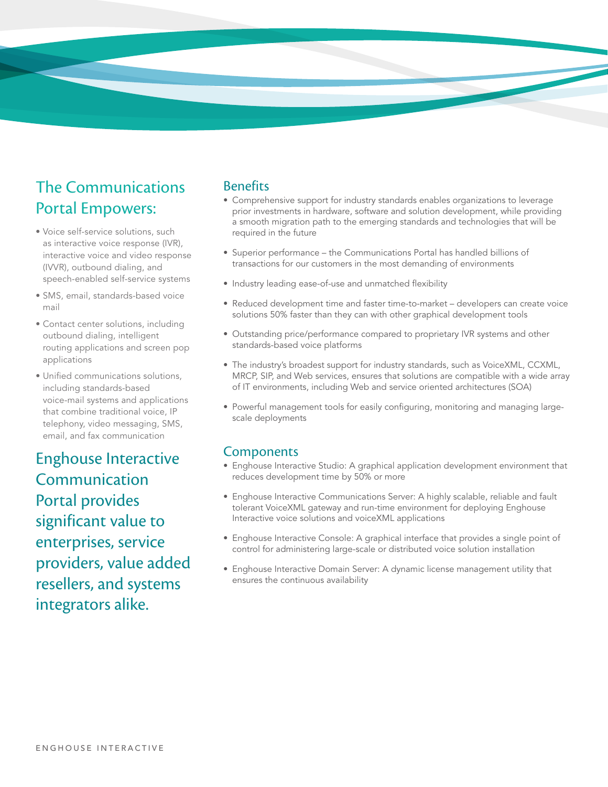

# The Communications Portal Empowers:

- • Voice self-service solutions, such as interactive voice response (IVR), interactive voice and video response (IVVR), outbound dialing, and speech-enabled self-service systems
- SMS, email, standards-based voice mail
- Contact center solutions, including outbound dialing, intelligent routing applications and screen pop applications
- · Unified communications solutions, including standards-based voice-mail systems and applications that combine traditional voice, IP telephony, video messaging, SMS, email, and fax communication

Enghouse Interactive Communication Portal provides significant value to enterprises, service providers, value added resellers, and systems integrators alike.

#### Benefits

- Comprehensive support for industry standards enables organizations to leverage prior investments in hardware, software and solution development, while providing a smooth migration path to the emerging standards and technologies that will be required in the future
- Superior performance the Communications Portal has handled billions of transactions for our customers in the most demanding of environments
- Industry leading ease-of-use and unmatched flexibility
- Reduced development time and faster time-to-market developers can create voice solutions 50% faster than they can with other graphical development tools
- Outstanding price/performance compared to proprietary IVR systems and other standards-based voice platforms
- The industry's broadest support for industry standards, such as VoiceXML, CCXML, MRCP, SIP, and Web services, ensures that solutions are compatible with a wide array of IT environments, including Web and service oriented architectures (SOA)
- Powerful management tools for easily configuring, monitoring and managing largescale deployments

#### **Components**

- Enghouse Interactive Studio: A graphical application development environment that reduces development time by 50% or more
- Enghouse Interactive Communications Server: A highly scalable, reliable and fault tolerant VoiceXML gateway and run-time environment for deploying Enghouse Interactive voice solutions and voiceXML applications
- Enghouse Interactive Console: A graphical interface that provides a single point of control for administering large-scale or distributed voice solution installation
- Enghouse Interactive Domain Server: A dynamic license management utility that ensures the continuous availability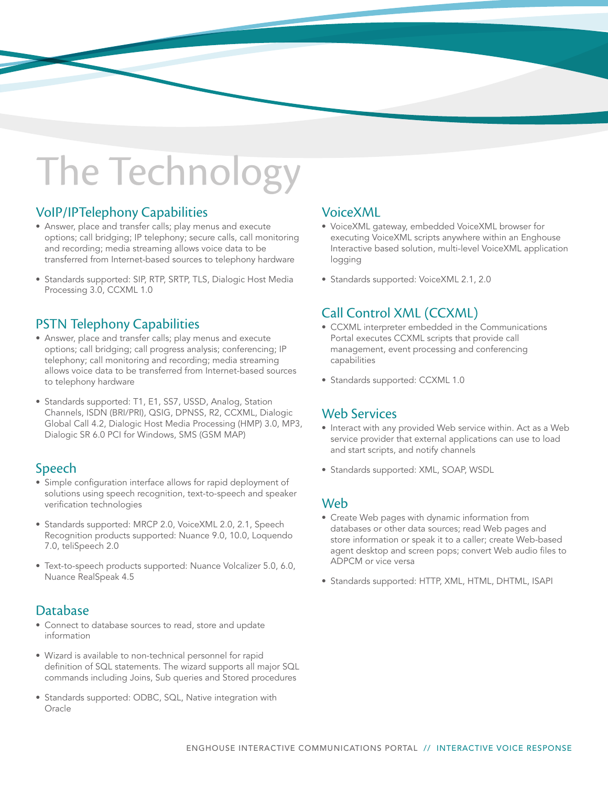# The Technology

# VoIP/IPTelephony Capabilities

- Answer, place and transfer calls; play menus and execute options; call bridging; IP telephony; secure calls, call monitoring and recording; media streaming allows voice data to be transferred from Internet-based sources to telephony hardware
- Standards supported: SIP, RTP, SRTP, TLS, Dialogic Host Media Processing 3.0, CCXML 1.0

# PSTN Telephony Capabilities

- Answer, place and transfer calls; play menus and execute options; call bridging; call progress analysis; conferencing; IP telephony; call monitoring and recording; media streaming allows voice data to be transferred from Internet-based sources to telephony hardware
- Standards supported: T1, E1, SS7, USSD, Analog, Station Channels, ISDN (BRI/PRI), QSIG, DPNSS, R2, CCXML, Dialogic Global Call 4.2, Dialogic Host Media Processing (HMP) 3.0, MP3, Dialogic SR 6.0 PCI for Windows, SMS (GSM MAP)

# Speech

- Simple configuration interface allows for rapid deployment of solutions using speech recognition, text-to-speech and speaker verification technologies
- Standards supported: MRCP 2.0, VoiceXML 2.0, 2.1, Speech Recognition products supported: Nuance 9.0, 10.0, Loquendo 7.0, teliSpeech 2.0
- Text-to-speech products supported: Nuance Volcalizer 5.0, 6.0, Nuance RealSpeak 4.5

# Database

- Connect to database sources to read, store and update information
- • Wizard is available to non-technical personnel for rapid definition of SQL statements. The wizard supports all major SQL commands including Joins, Sub queries and Stored procedures
- Standards supported: ODBC, SQL, Native integration with Oracle

# VoiceXML

- • VoiceXML gateway, embedded VoiceXML browser for executing VoiceXML scripts anywhere within an Enghouse Interactive based solution, multi-level VoiceXML application logging
- Standards supported: VoiceXML 2.1, 2.0

# Call Control XML (CCXML)

- • CCXML interpreter embedded in the Communications Portal executes CCXML scripts that provide call management, event processing and conferencing capabilities
- Standards supported: CCXML 1.0

# Web Services

- Interact with any provided Web service within. Act as a Web service provider that external applications can use to load and start scripts, and notify channels
- Standards supported: XML, SOAP, WSDL

#### Web

- Create Web pages with dynamic information from databases or other data sources; read Web pages and store information or speak it to a caller; create Web-based agent desktop and screen pops; convert Web audio files to ADPCM or vice versa
- Standards supported: HTTP, XML, HTML, DHTML, ISAPI